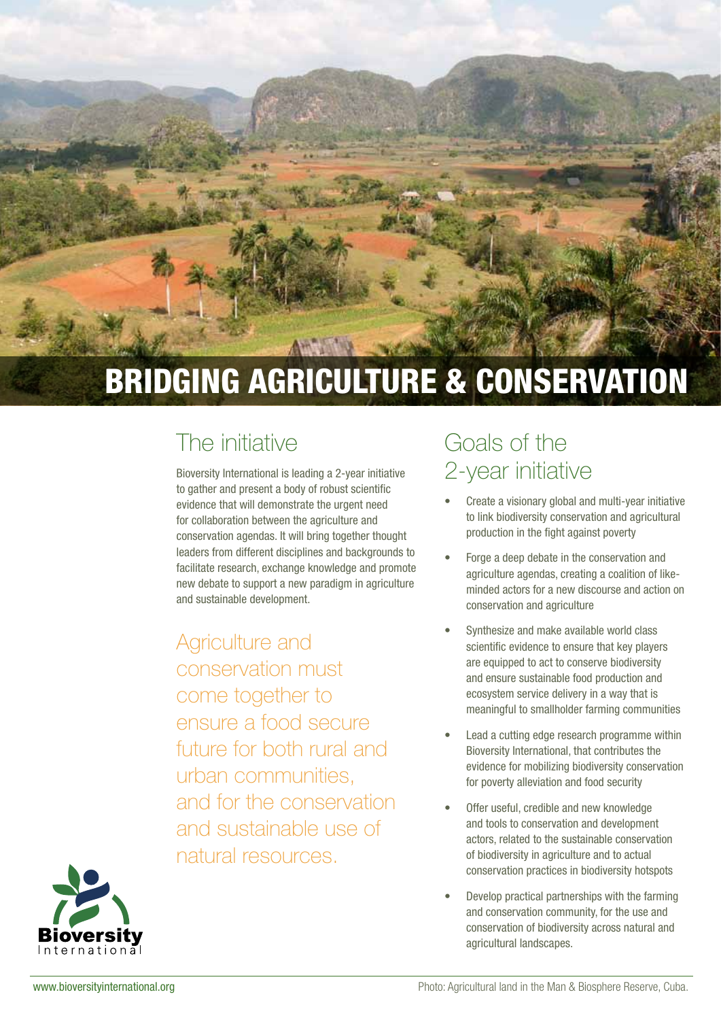

# BRIDGING AGRICULTURE & CONSERVATION

### The initiative

Bioversity International is leading a 2-year initiative to gather and present a body of robust scientific evidence that will demonstrate the urgent need for collaboration between the agriculture and conservation agendas. It will bring together thought leaders from different disciplines and backgrounds to facilitate research, exchange knowledge and promote new debate to support a new paradigm in agriculture and sustainable development.

Agriculture and conservation must come together to ensure a food secure future for both rural and urban communities, and for the conservation and sustainable use of natural resources.

### Goals of the 2-year initiative

- Create a visionary global and multi-year initiative to link biodiversity conservation and agricultural production in the fight against poverty
- Forge a deep debate in the conservation and agriculture agendas, creating a coalition of likeminded actors for a new discourse and action on conservation and agriculture
- Synthesize and make available world class scientific evidence to ensure that key players are equipped to act to conserve biodiversity and ensure sustainable food production and ecosystem service delivery in a way that is meaningful to smallholder farming communities
- Lead a cutting edge research programme within Bioversity International, that contributes the evidence for mobilizing biodiversity conservation for poverty alleviation and food security
- Offer useful, credible and new knowledge and tools to conservation and development actors, related to the sustainable conservation of biodiversity in agriculture and to actual conservation practices in biodiversity hotspots
- Develop practical partnerships with the farming and conservation community, for the use and conservation of biodiversity across natural and agricultural landscapes.

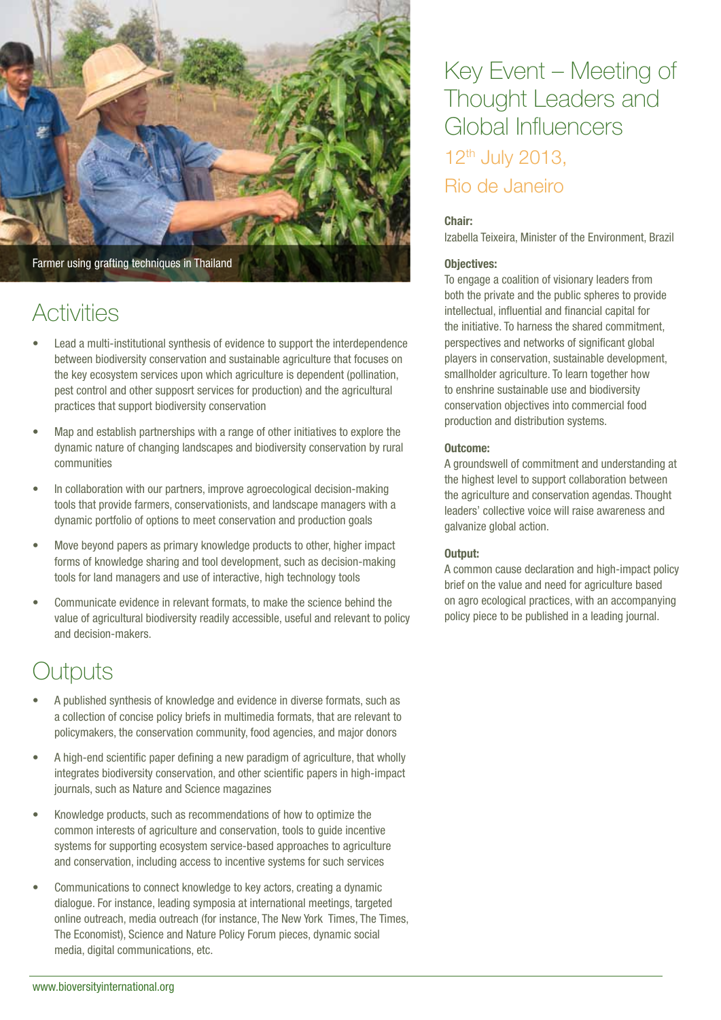

### **Activities**

- Lead a multi-institutional synthesis of evidence to support the interdependence between biodiversity conservation and sustainable agriculture that focuses on the key ecosystem services upon which agriculture is dependent (pollination, pest control and other supposrt services for production) and the agricultural practices that support biodiversity conservation
- Map and establish partnerships with a range of other initiatives to explore the dynamic nature of changing landscapes and biodiversity conservation by rural communities
- In collaboration with our partners, improve agroecological decision-making tools that provide farmers, conservationists, and landscape managers with a dynamic portfolio of options to meet conservation and production goals
- Move beyond papers as primary knowledge products to other, higher impact forms of knowledge sharing and tool development, such as decision-making tools for land managers and use of interactive, high technology tools
- Communicate evidence in relevant formats, to make the science behind the value of agricultural biodiversity readily accessible, useful and relevant to policy and decision-makers.

### **Dutputs**

- A published synthesis of knowledge and evidence in diverse formats, such as a collection of concise policy briefs in multimedia formats, that are relevant to policymakers, the conservation community, food agencies, and major donors
- A high-end scientific paper defining a new paradigm of agriculture, that wholly integrates biodiversity conservation, and other scientific papers in high-impact journals, such as Nature and Science magazines
- • Knowledge products, such as recommendations of how to optimize the common interests of agriculture and conservation, tools to guide incentive systems for supporting ecosystem service-based approaches to agriculture and conservation, including access to incentive systems for such services
- Communications to connect knowledge to key actors, creating a dynamic dialogue. For instance, leading symposia at international meetings, targeted online outreach, media outreach (for instance, The New York Times, The Times, The Economist), Science and Nature Policy Forum pieces, dynamic social media, digital communications, etc.

### Key Event – Meeting of Thought Leaders and Global Influencers 12th July 2013, Rio de Janeiro

#### Chair:

Izabella Teixeira, Minister of the Environment, Brazil

#### Objectives:

To engage a coalition of visionary leaders from both the private and the public spheres to provide intellectual, influential and financial capital for the initiative. To harness the shared commitment, perspectives and networks of significant global players in conservation, sustainable development, smallholder agriculture. To learn together how to enshrine sustainable use and biodiversity conservation objectives into commercial food production and distribution systems.

#### Outcome:

A groundswell of commitment and understanding at the highest level to support collaboration between the agriculture and conservation agendas. Thought leaders' collective voice will raise awareness and galvanize global action.

#### Output:

A common cause declaration and high-impact policy brief on the value and need for agriculture based on agro ecological practices, with an accompanying policy piece to be published in a leading journal.